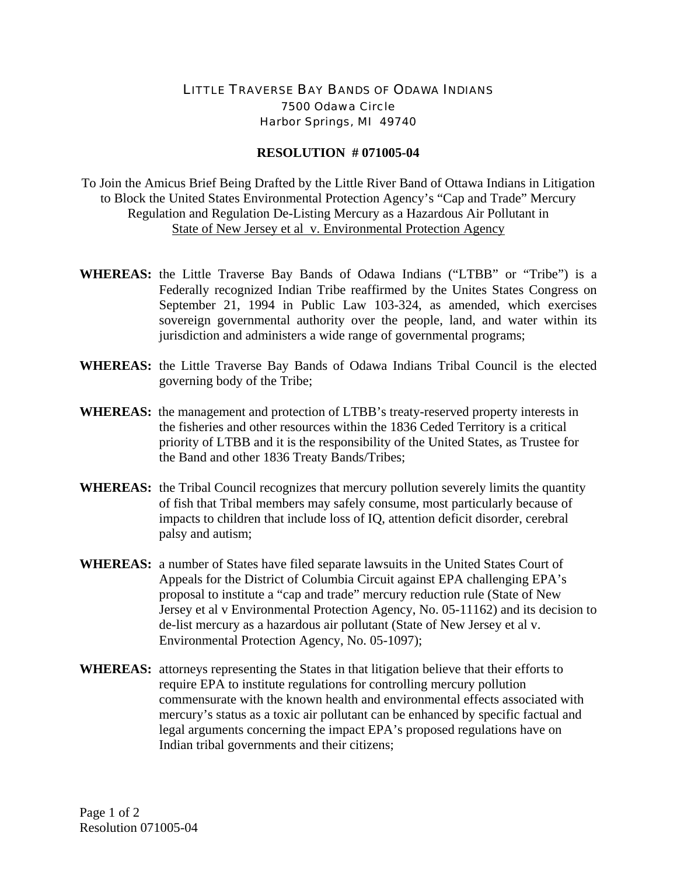## LITTLE TRAVERSE BAY BANDS OF ODAWA INDIANS 7500 Odawa Circle Harbor Springs, MI 49740

## **RESOLUTION # 071005-04**

To Join the Amicus Brief Being Drafted by the Little River Band of Ottawa Indians in Litigation to Block the United States Environmental Protection Agency's "Cap and Trade" Mercury Regulation and Regulation De-Listing Mercury as a Hazardous Air Pollutant in State of New Jersey et al v. Environmental Protection Agency

- **WHEREAS:** the Little Traverse Bay Bands of Odawa Indians ("LTBB" or "Tribe") is a Federally recognized Indian Tribe reaffirmed by the Unites States Congress on September 21, 1994 in Public Law 103-324, as amended, which exercises sovereign governmental authority over the people, land, and water within its jurisdiction and administers a wide range of governmental programs;
- **WHEREAS:** the Little Traverse Bay Bands of Odawa Indians Tribal Council is the elected governing body of the Tribe;
- **WHEREAS:** the management and protection of LTBB's treaty-reserved property interests in the fisheries and other resources within the 1836 Ceded Territory is a critical priority of LTBB and it is the responsibility of the United States, as Trustee for the Band and other 1836 Treaty Bands/Tribes;
- **WHEREAS:** the Tribal Council recognizes that mercury pollution severely limits the quantity of fish that Tribal members may safely consume, most particularly because of impacts to children that include loss of IQ, attention deficit disorder, cerebral palsy and autism;
- **WHEREAS:** a number of States have filed separate lawsuits in the United States Court of Appeals for the District of Columbia Circuit against EPA challenging EPA's proposal to institute a "cap and trade" mercury reduction rule (State of New Jersey et al v Environmental Protection Agency, No. 05-11162) and its decision to de-list mercury as a hazardous air pollutant (State of New Jersey et al v. Environmental Protection Agency, No. 05-1097);
- **WHEREAS:** attorneys representing the States in that litigation believe that their efforts to require EPA to institute regulations for controlling mercury pollution commensurate with the known health and environmental effects associated with mercury's status as a toxic air pollutant can be enhanced by specific factual and legal arguments concerning the impact EPA's proposed regulations have on Indian tribal governments and their citizens;